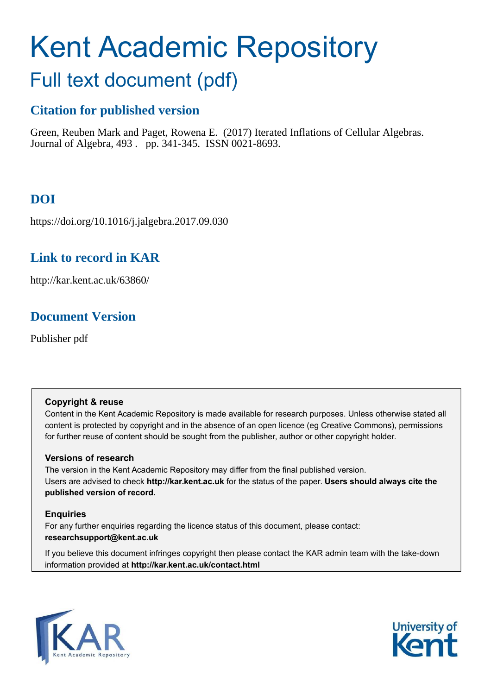# <span id="page-0-0"></span>Kent Academic Repository

## Full text document (pdf)

## **Citation for published version**

Green, Reuben Mark and Paget, Rowena E. (2017) Iterated Inflations of Cellular Algebras. Journal of Algebra, 493 . pp. 341-345. ISSN 0021-8693.

## **DOI**

https://doi.org/10.1016/j.jalgebra.2017.09.030

## **Link to record in KAR**

http://kar.kent.ac.uk/63860/

## **Document Version**

Publisher pdf

#### **Copyright & reuse**

Content in the Kent Academic Repository is made available for research purposes. Unless otherwise stated all content is protected by copyright and in the absence of an open licence (eg Creative Commons), permissions for further reuse of content should be sought from the publisher, author or other copyright holder.

#### **Versions of research**

The version in the Kent Academic Repository may differ from the final published version. Users are advised to check **http://kar.kent.ac.uk** for the status of the paper. **Users should always cite the published version of record.**

#### **Enquiries**

For any further enquiries regarding the licence status of this document, please contact: **researchsupport@kent.ac.uk**

If you believe this document infringes copyright then please contact the KAR admin team with the take-down information provided at **http://kar.kent.ac.uk/contact.html**



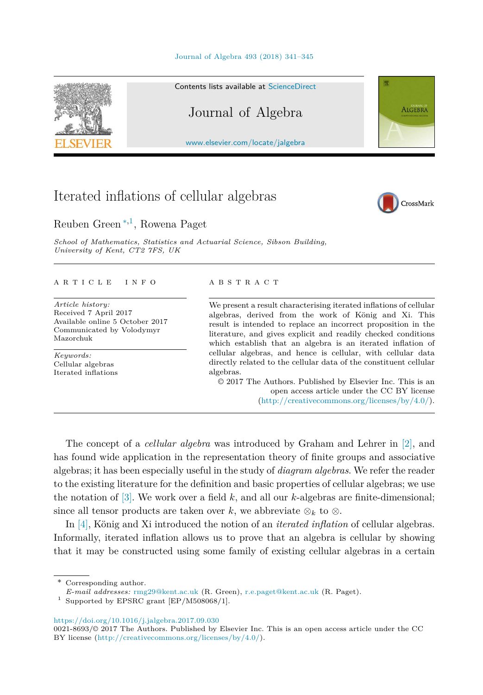



Contents lists available at [ScienceDirect](http://www.ScienceDirect.com/)

#### Journal of Algebra

[www.elsevier.com/locate/jalgebra](http://www.elsevier.com/locate/jalgebra)

### Iterated inflations of cellular algebras



*School of Mathematics, Statistics and Actuarial Science, Sibson Building, University of Kent, CT2 7FS, UK*

#### A R T I C L E I N F O A B S T R A C T

*Article history:* Received 7 April 2017 Available online 5 October 2017 Communicated by Volodymyr Mazorchuk

*Keywords:* Cellular algebras Iterated inflations

We present a result characterising iterated inflations of cellular algebras, derived from the work of König and Xi. This result is intended to replace an incorrect proposition in the literature, and gives explicit and readily checked conditions which establish that an algebra is an iterated inflation of cellular algebras, and hence is cellular, with cellular data directly related to the cellular data of the constituent cellular algebras.

© 2017 The Authors. Published by Elsevier Inc. This is an open access article under the CC BY license [\(http://creativecommons.org/licenses/by/4.0/](http://creativecommons.org/licenses/by/4.0/)).

The concept of a *cellular algebra* was introduced by Graham and Lehrer in [\[2\],](#page-4-0) and has found wide application in the representation theory of finite groups and associative algebras; it has been especially useful in the study of *diagram algebras*. We refer the reader to the existing literature for the definition and basic properties of cellular algebras; we use the notation of [\[3\].](#page-4-0) We work over a field *k*, and all our *k*-algebras are finite-dimensional; since all tensor products are taken over *k*, we abbreviate  $\otimes_k$  to  $\otimes$ .

In [\[4\],](#page-4-0) König and Xi introduced the notion of an *iterated inflation* of cellular algebras. Informally, iterated inflation allows us to prove that an algebra is cellular by showing that it may be constructed using some family of existing cellular algebras in a certain

<https://doi.org/10.1016/j.jalgebra.2017.09.030>



**ALGEBRA** 

<sup>\*</sup> Corresponding author.

*E-mail addresses:* [rmg29@kent.ac.uk](mailto:rmg29@kent.ac.uk) (R. Green), [r.e.paget@kent.ac.uk](mailto:r.e.paget@kent.ac.uk) (R. Paget).

Supported by EPSRC grant [EP/M508068/1].

<sup>0021-8693/©</sup> 2017 The Authors. Published by Elsevier Inc. This is an open access article under the CC BY license [\(http://creativecommons.org/licenses/by/4.0/](http://creativecommons.org/licenses/by/4.0/)).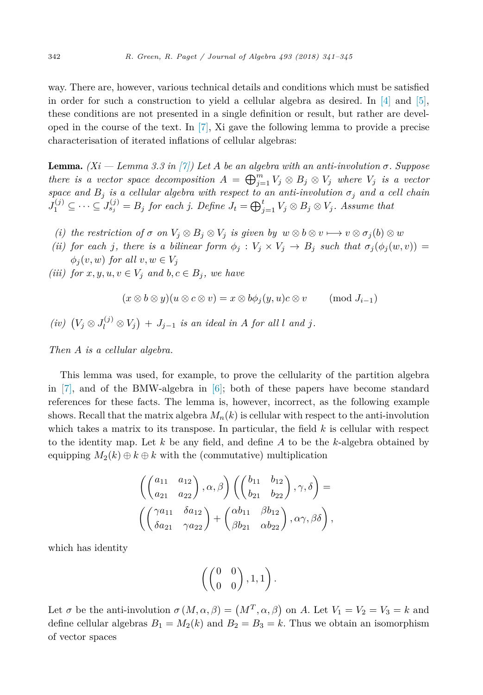<span id="page-2-0"></span>way. There are, however, various technical details and conditions which must be satisfied in order for such a construction to yield a cellular algebra as desired. In  $[4]$  and  $[5]$ , these conditions are not presented in a single definition or result, but rather are developed in the course of the text. In [\[7\],](#page-4-0) Xi gave the following lemma to provide a precise characterisation of iterated inflations of cellular algebras:

Lemma. *(Xi — Lemma 3.3 in [\[7\]\)](#page-4-0) Let A be an algebra with an anti-involution σ. Suppose* there is a vector space decomposition  $A = \bigoplus_{j=1}^{m} V_j \otimes B_j \otimes V_j$  where  $V_j$  is a vector *space and*  $B_j$  *is a cellular algebra with respect to an anti-involution*  $\sigma_j$  *and a cell chain*  $J_1^{(j)} \subseteq \cdots \subseteq J_{s_j}^{(j)} = B_j$  for each j. Define  $J_t = \bigoplus_{j=1}^t V_j \otimes B_j \otimes V_j$ . Assume that

- (i) the restriction of  $\sigma$  on  $V_i \otimes B_j \otimes V_j$  is given by  $w \otimes b \otimes v \mapsto v \otimes \sigma_j(b) \otimes w$
- (ii) for each j, there is a bilinear form  $\phi_j : V_j \times V_j \to B_j$  such that  $\sigma_j(\phi_j(w, v)) =$  $\phi_i(v, w)$  *for all*  $v, w \in V_i$
- *(iii) for*  $x, y, u, v \in V_j$  *and*  $b, c \in B_j$ *, we have*

$$
(x \otimes b \otimes y)(u \otimes c \otimes v) = x \otimes b\phi_j(y, u)c \otimes v \quad (\text{mod } J_{i-1})
$$

 $(iv)$   $(V_j \otimes J_l^{(j)} \otimes V_j) + J_{j-1}$  *is an ideal in A for all l and j.* 

#### *Then A is a cellular algebra.*

This lemma was used, for example, to prove the cellularity of the partition algebra in [\[7\],](#page-4-0) and of the BMW-algebra in [\[6\];](#page-4-0) both of these papers have become standard references for these facts. The lemma is, however, incorrect, as the following example shows. Recall that the matrix algebra  $M_n(k)$  is cellular with respect to the anti-involution which takes a matrix to its transpose. In particular, the field *k* is cellular with respect to the identity map. Let *k* be any field, and define *A* to be the *k*-algebra obtained by equipping  $M_2(k) \oplus k \oplus k$  with the (commutative) multiplication

$$
\begin{pmatrix}\n\begin{pmatrix}\na_{11} & a_{12} \\
a_{21} & a_{22}\n\end{pmatrix}, \alpha, \beta\n\end{pmatrix}\n\begin{pmatrix}\n\begin{pmatrix}\nb_{11} & b_{12} \\
b_{21} & b_{22}\n\end{pmatrix}, \gamma, \delta\n\end{pmatrix} = \n\begin{pmatrix}\n\begin{pmatrix}\n\gamma a_{11} & \delta a_{12} \\
\delta a_{21} & \gamma a_{22}\n\end{pmatrix} + \begin{pmatrix}\n\alpha b_{11} & \beta b_{12} \\
\beta b_{21} & \alpha b_{22}\n\end{pmatrix}, \alpha \gamma, \beta \delta\n\end{pmatrix},
$$

which has identity

$$
\left( \begin{pmatrix} 0 & 0 \\ 0 & 0 \end{pmatrix}, 1, 1 \right).
$$

Let  $\sigma$  be the anti-involution  $\sigma(M, \alpha, \beta) = (M^T, \alpha, \beta)$  on *A*. Let  $V_1 = V_2 = V_3 = k$  and define cellular algebras  $B_1 = M_2(k)$  and  $B_2 = B_3 = k$ . Thus we obtain an isomorphism of vector spaces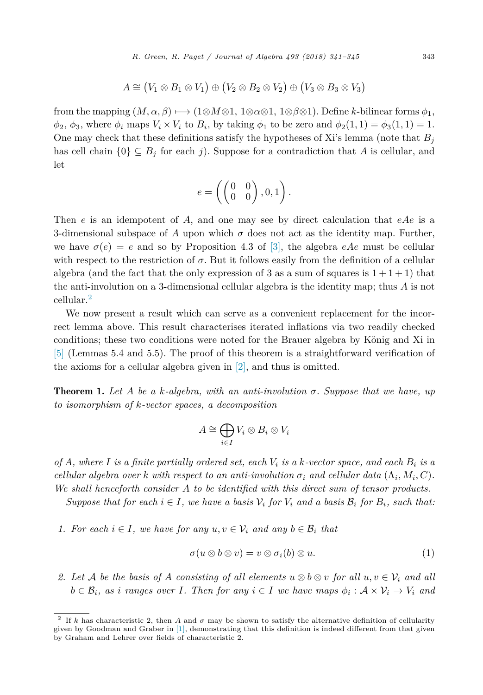$$
A \cong (V_1 \otimes B_1 \otimes V_1) \oplus (V_2 \otimes B_2 \otimes V_2) \oplus (V_3 \otimes B_3 \otimes V_3)
$$

<span id="page-3-0"></span>from the mapping  $(M, \alpha, \beta) \mapsto (1 \otimes M \otimes 1, 1 \otimes \alpha \otimes 1, 1 \otimes \beta \otimes 1)$ . Define *k*-bilinear forms  $\phi_1$ ,  $\phi_2$ ,  $\phi_3$ , where  $\phi_i$  maps  $V_i \times V_i$  to  $B_i$ , by taking  $\phi_1$  to be zero and  $\phi_2(1,1) = \phi_3(1,1) = 1$ . One may check that these definitions satisfy the hypotheses of Xi's lemma (note that *B<sup>j</sup>* has cell chain  $\{0\} \subseteq B_j$  for each *j*). Suppose for a contradiction that *A* is cellular, and let

$$
e = \left( \begin{pmatrix} 0 & 0 \\ 0 & 0 \end{pmatrix}, 0, 1 \right).
$$

Then *e* is an idempotent of *A*, and one may see by direct calculation that *eAe* is a 3-dimensional subspace of *A* upon which  $\sigma$  does not act as the identity map. Further, we have  $\sigma(e) = e$  and so by Proposition 4.3 of [\[3\],](#page-4-0) the algebra *eAe* must be cellular with respect to the restriction of  $\sigma$ . But it follows easily from the definition of a cellular algebra (and the fact that the only expression of 3 as a sum of squares is  $1 + 1 + 1$ ) that the anti-involution on a 3-dimensional cellular algebra is the identity map; thus *A* is not cellular.[2](#page-2-0)

We now present a result which can serve as a convenient replacement for the incorrect lemma above. This result characterises iterated inflations via two readily checked conditions; these two conditions were noted for the Brauer algebra by König and Xi in [\[5\]](#page-4-0) (Lemmas 5.4 and 5.5). The proof of this theorem is a straightforward verification of the axioms for a cellular algebra given in [\[2\],](#page-4-0) and thus is omitted.

**Theorem 1.** Let A be a k-algebra, with an anti-involution  $\sigma$ . Suppose that we have, up *to isomorphism of k-vector spaces, a decomposition*

$$
A \cong \bigoplus_{i \in I} V_i \otimes B_i \otimes V_i
$$

of A, where I is a finite partially ordered set, each  $V_i$  is a k-vector space, and each  $B_i$  is a cellular algebra over k with respect to an anti-involution  $\sigma_i$  and cellular data  $(\Lambda_i, M_i, C)$ . *We shall henceforth consider A to be identified with this direct sum of tensor products.*

Suppose that for each  $i \in I$ , we have a basis  $V_i$  for  $V_i$  and a basis  $\mathcal{B}_i$  for  $B_i$ , such that:

*1. For each*  $i \in I$ *, we have for any*  $u, v \in V$ *i and any*  $b \in \mathcal{B}_i$  *that* 

$$
\sigma(u \otimes b \otimes v) = v \otimes \sigma_i(b) \otimes u. \tag{1}
$$

2. Let A be the basis of A consisting of all elements  $u \otimes b \otimes v$  for all  $u, v \in V_i$  and all  $b \in \mathcal{B}_i$ , as i ranges over I. Then for any  $i \in I$  we have maps  $\phi_i : \mathcal{A} \times \mathcal{V}_i \to V_i$  and

<sup>&</sup>lt;sup>2</sup> If *k* has characteristic 2, then *A* and  $\sigma$  may be shown to satisfy the alternative definition of cellularity given by Goodman and Graber in [\[1\],](#page-4-0) demonstrating that this definition is indeed different from that given by Graham and Lehrer over fields of characteristic 2.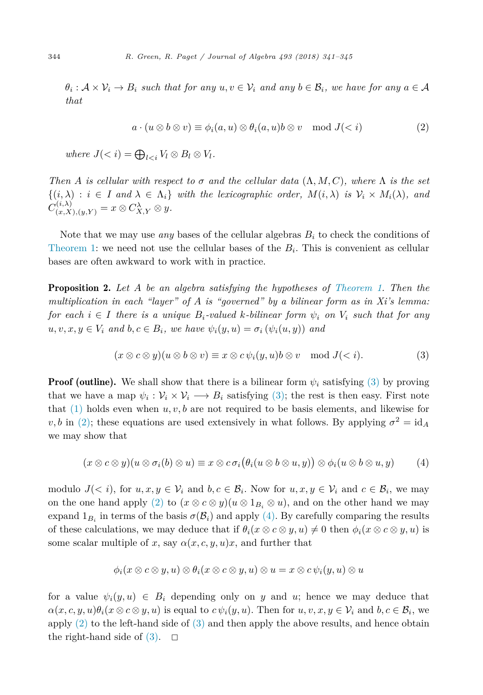<span id="page-4-0"></span> $\theta_i: \mathcal{A} \times \mathcal{V}_i \to B_i$  such that for any  $u, v \in \mathcal{V}_i$  and any  $b \in \mathcal{B}_i$ , we have for any  $a \in \mathcal{A}$ *that*

$$
a \cdot (u \otimes b \otimes v) \equiv \phi_i(a, u) \otimes \theta_i(a, u)b \otimes v \mod J(i)
$$
 (2)

 $where \, J(*i*) = \bigoplus_{l < i} V_l \otimes B_l \otimes V_l.$ 

Then A is cellular with respect to  $\sigma$  and the cellular data  $(\Lambda, M, C)$ , where  $\Lambda$  is the set  $\{(i,\lambda) : i \in I \text{ and } \lambda \in \Lambda_i\}$  with the lexicographic order,  $M(i,\lambda)$  is  $\mathcal{V}_i \times M_i(\lambda)$ , and  $C^{(i,\lambda)}_{(x,X),(y,Y)} = x \otimes C^{\lambda}_{X,Y} \otimes y.$ 

Note that we may use *any* bases of the cellular algebras  $B_i$  to check the conditions of [Theorem 1:](#page-2-0) we need not use the cellular bases of the  $B_i$ . This is convenient as cellular bases are often awkward to work with in practice.

Proposition 2. *Let A be an algebra satisfying the hypotheses of [Theorem 1.](#page-2-0) Then the multiplication in each "layer" of A is "governed" by a bilinear form as in Xi's lemma:* for each  $i \in I$  there is a unique  $B_i$ -valued k-bilinear form  $\psi_i$  on  $V_i$  such that for any  $u, v, x, y \in V_i$  and  $b, c \in B_i$ , we have  $\psi_i(y, u) = \sigma_i(\psi_i(u, y))$  and

$$
(x \otimes c \otimes y)(u \otimes b \otimes v) \equiv x \otimes c \psi_i(y, u)b \otimes v \mod J(i).
$$
 (3)

**Proof (outline).** We shall show that there is a bilinear form  $\psi_i$  satisfying [\(3\)](#page-3-0) by proving that we have a map  $\psi_i : \mathcal{V}_i \times \mathcal{V}_i \longrightarrow B_i$  satisfying [\(3\);](#page-3-0) the rest is then easy. First note that  $(1)$  holds even when  $u, v, b$  are not required to be basis elements, and likewise for *v, b* in [\(2\);](#page-3-0) these equations are used extensively in what follows. By applying  $\sigma^2 = id_A$ we may show that

$$
(x \otimes c \otimes y)(u \otimes \sigma_i(b) \otimes u) \equiv x \otimes c \sigma_i(\theta_i(u \otimes b \otimes u, y)) \otimes \phi_i(u \otimes b \otimes u, y) \tag{4}
$$

modulo  $J(< i)$ , for  $u, x, y \in V_i$  and  $b, c \in \mathcal{B}_i$ . Now for  $u, x, y \in V_i$  and  $c \in \mathcal{B}_i$ , we may on the one hand apply [\(2\)](#page-3-0) to  $(x \otimes c \otimes y)(u \otimes 1_{B_i} \otimes u)$ , and on the other hand we may expand  $1_{B_i}$  in terms of the basis  $\sigma(\mathcal{B}_i)$  and apply [\(4\).](#page-3-0) By carefully comparing the results of these calculations, we may deduce that if  $\theta_i(x \otimes c \otimes y, u) \neq 0$  then  $\phi_i(x \otimes c \otimes y, u)$  is some scalar multiple of *x*, say  $\alpha(x, c, y, u)x$ , and further that

$$
\phi_i(x \otimes c \otimes y, u) \otimes \theta_i(x \otimes c \otimes y, u) \otimes u = x \otimes c \psi_i(y, u) \otimes u
$$

for a value  $\psi_i(y, u) \in B_i$  depending only on y and u; hence we may deduce that  $\alpha(x,c,y,u)\theta_i(x\otimes c\otimes y,u)$  is equal to  $c\psi_i(y,u)$ . Then for  $u,v,x,y\in\mathcal{V}_i$  and  $b,c\in\mathcal{B}_i$ , we apply [\(2\)](#page-3-0) to the left-hand side of [\(3\)](#page-3-0) and then apply the above results, and hence obtain the right-hand side of  $(3)$ .  $\Box$